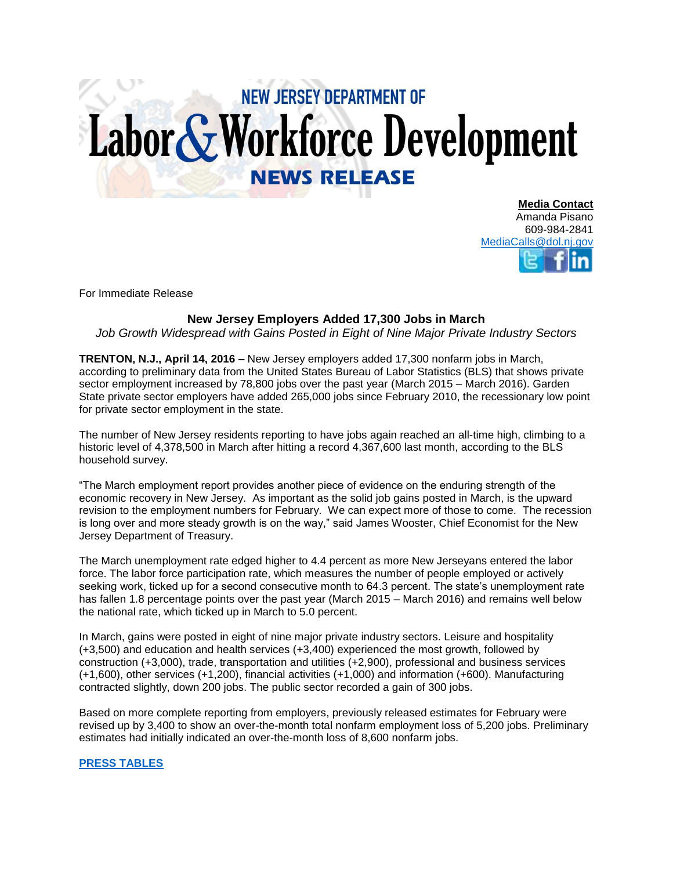## **NEW JERSEY DEPARTMENT OF** Labor & Workforce Development **NEWS RELEASE**

**Media Contact** Amanda Pisano 609-984-2841 [MediaCalls@dol.nj.gov](mailto:MediaCalls@dol.nj.gov)

For Immediate Release

## **New Jersey Employers Added 17,300 Jobs in March**

*Job Growth Widespread with Gains Posted in Eight of Nine Major Private Industry Sectors*

**TRENTON, N.J., April 14, 2016 –** New Jersey employers added 17,300 nonfarm jobs in March, according to preliminary data from the United States Bureau of Labor Statistics (BLS) that shows private sector employment increased by 78,800 jobs over the past year (March 2015 – March 2016). Garden State private sector employers have added 265,000 jobs since February 2010, the recessionary low point for private sector employment in the state.

The number of New Jersey residents reporting to have jobs again reached an all-time high, climbing to a historic level of 4,378,500 in March after hitting a record 4,367,600 last month, according to the BLS household survey.

"The March employment report provides another piece of evidence on the enduring strength of the economic recovery in New Jersey. As important as the solid job gains posted in March, is the upward revision to the employment numbers for February. We can expect more of those to come. The recession is long over and more steady growth is on the way," said James Wooster, Chief Economist for the New Jersey Department of Treasury.

The March unemployment rate edged higher to 4.4 percent as more New Jerseyans entered the labor force. The labor force participation rate, which measures the number of people employed or actively seeking work, ticked up for a second consecutive month to 64.3 percent. The state's unemployment rate has fallen 1.8 percentage points over the past year (March 2015 – March 2016) and remains well below the national rate, which ticked up in March to 5.0 percent.

In March, gains were posted in eight of nine major private industry sectors. Leisure and hospitality (+3,500) and education and health services (+3,400) experienced the most growth, followed by construction (+3,000), trade, transportation and utilities (+2,900), professional and business services (+1,600), other services (+1,200), financial activities (+1,000) and information (+600). Manufacturing contracted slightly, down 200 jobs. The public sector recorded a gain of 300 jobs.

Based on more complete reporting from employers, previously released estimates for February were revised up by 3,400 to show an over-the-month total nonfarm employment loss of 5,200 jobs. Preliminary estimates had initially indicated an over-the-month loss of 8,600 nonfarm jobs.

**[PRESS TABLES](http://lwd.dol.state.nj.us/labor/forms_pdfs/lwdhome/press/2016/20160414UITables.pdf)**